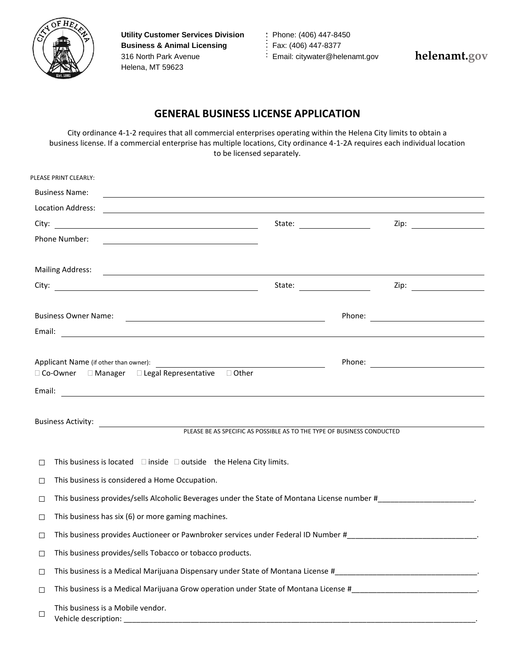

**Utility Customer Services Division : Phone: (406) 447-8450 Business & Animal Licensing Fax: (406) 447-8377** 316 North Park Avenue **Email:** citywater@helenamt.gov Helena, MT 59623

**helenamt.gov**

## **GENERAL BUSINESS LICENSE APPLICATION**

City ordinance 4-1-2 requires that all commercial enterprises operating within the Helena City limits to obtain a business license. If a commercial enterprise has multiple locations, City ordinance 4-1-2A requires each individual location to be licensed separately.

|                                                                                                                                                                                                                                | PLEASE PRINT CLEARLY:                                                                                                                     |  |  |                      |  |  |  |
|--------------------------------------------------------------------------------------------------------------------------------------------------------------------------------------------------------------------------------|-------------------------------------------------------------------------------------------------------------------------------------------|--|--|----------------------|--|--|--|
|                                                                                                                                                                                                                                | <b>Business Name:</b><br>and the control of the control of the control of the control of the control of the control of the control of the |  |  |                      |  |  |  |
|                                                                                                                                                                                                                                | Location Address:<br><u> 1999 - Johann John Stoff, fransk politik (f. 1989)</u>                                                           |  |  |                      |  |  |  |
|                                                                                                                                                                                                                                |                                                                                                                                           |  |  | Zip: $\qquad \qquad$ |  |  |  |
|                                                                                                                                                                                                                                | Phone Number:<br><u> 1989 - Johann Barn, mars ann an t-Amhain Aonaich an t-Aonaich an t-Aonaich ann an t-Aonaich ann an t-Aonaich</u>     |  |  |                      |  |  |  |
|                                                                                                                                                                                                                                |                                                                                                                                           |  |  |                      |  |  |  |
| Mailing Address: National Address: National Address: National Address: National Address: National Address: National Address: National Address: National Address: National Address: National Address: National Address: Nationa |                                                                                                                                           |  |  |                      |  |  |  |
|                                                                                                                                                                                                                                |                                                                                                                                           |  |  |                      |  |  |  |
|                                                                                                                                                                                                                                | <b>Business Owner Name:</b>                                                                                                               |  |  |                      |  |  |  |
|                                                                                                                                                                                                                                |                                                                                                                                           |  |  |                      |  |  |  |
|                                                                                                                                                                                                                                |                                                                                                                                           |  |  |                      |  |  |  |
|                                                                                                                                                                                                                                |                                                                                                                                           |  |  |                      |  |  |  |
|                                                                                                                                                                                                                                | □ Co-Owner □ Manager □ Legal Representative □ Other                                                                                       |  |  |                      |  |  |  |
| Email:                                                                                                                                                                                                                         | <u> 1989 - Andrea Barbara, amerikan basar dan berasal dalam berasal dalam berasal dalam berasal dalam berasal da</u>                      |  |  |                      |  |  |  |
|                                                                                                                                                                                                                                |                                                                                                                                           |  |  |                      |  |  |  |
|                                                                                                                                                                                                                                | PLEASE BE AS SPECIFIC AS POSSIBLE AS TO THE TYPE OF BUSINESS CONDUCTED                                                                    |  |  |                      |  |  |  |
|                                                                                                                                                                                                                                |                                                                                                                                           |  |  |                      |  |  |  |
| П                                                                                                                                                                                                                              | This business is located $\Box$ inside $\Box$ outside the Helena City limits.                                                             |  |  |                      |  |  |  |
| □                                                                                                                                                                                                                              | This business is considered a Home Occupation.                                                                                            |  |  |                      |  |  |  |
| $\Box$                                                                                                                                                                                                                         |                                                                                                                                           |  |  |                      |  |  |  |
| П                                                                                                                                                                                                                              | This business has six (6) or more gaming machines.                                                                                        |  |  |                      |  |  |  |
| П                                                                                                                                                                                                                              | This business provides Auctioneer or Pawnbroker services under Federal ID Number # 1999 .                                                 |  |  |                      |  |  |  |
|                                                                                                                                                                                                                                | This business provides/sells Tobacco or tobacco products.                                                                                 |  |  |                      |  |  |  |
| $\Box$                                                                                                                                                                                                                         |                                                                                                                                           |  |  |                      |  |  |  |
| $\Box$                                                                                                                                                                                                                         |                                                                                                                                           |  |  |                      |  |  |  |
| $\Box$                                                                                                                                                                                                                         | This business is a Mobile vendor.<br>Vehicle description:                                                                                 |  |  |                      |  |  |  |